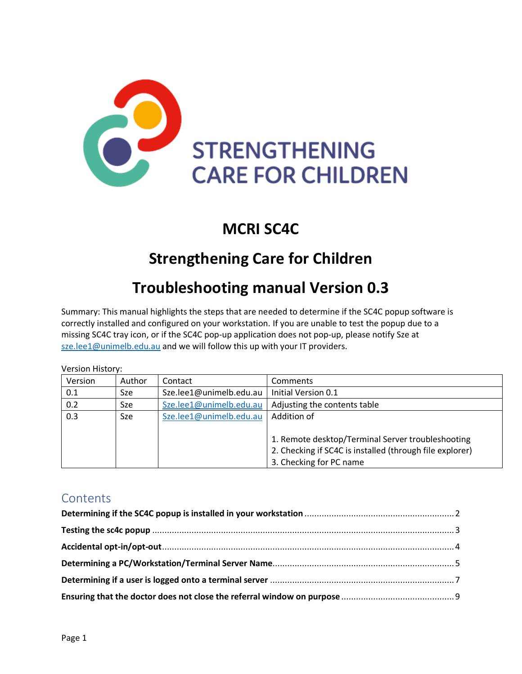

## **MCRI SC4C**

## **Strengthening Care for Children**

## **Troubleshooting manual Version 0.3**

Summary: This manual highlights the steps that are needed to determine if the SC4C popup software is correctly installed and configured on your workstation. If you are unable to test the popup due to a missing SC4C tray icon, or if the SC4C pop-up application does not pop-up, please notify Sze at [sze.lee1@unimelb.edu.au](mailto:sze.lee1@unimelb.edu.au) and we will follow this up with your IT providers.

| Version History: |            |                         |                                                          |
|------------------|------------|-------------------------|----------------------------------------------------------|
| Version          | Author     | Contact                 | Comments                                                 |
| 0.1              | <b>Sze</b> | Sze.lee1@unimelb.edu.au | Initial Version 0.1                                      |
| 0.2              | <b>Sze</b> | Sze.lee1@unimelb.edu.au | Adjusting the contents table                             |
| 0.3              | Sze        | Sze.lee1@unimelb.edu.au | Addition of                                              |
|                  |            |                         |                                                          |
|                  |            |                         | 1. Remote desktop/Terminal Server troubleshooting        |
|                  |            |                         | 2. Checking if SC4C is installed (through file explorer) |
|                  |            |                         | 3. Checking for PC name                                  |

#### **Contents**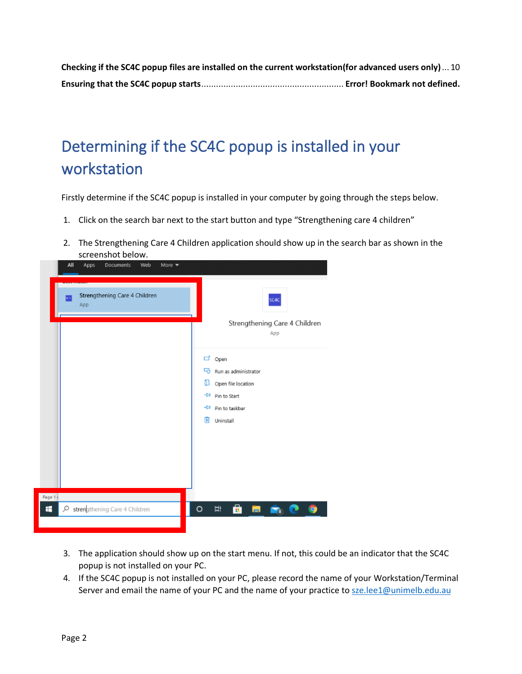**[Checking if the SC4C popup files are installed on the current workstation\(for advanced users only\)](#page-9-0)**... 10 **Ensuring that the SC4C popup starts**.......................................................... **Error! Bookmark not defined.**

# <span id="page-1-0"></span>Determining if the SC4C popup is installed in your workstation

Firstly determine if the SC4C popup is installed in your computer by going through the steps below.

- 1. Click on the search bar next to the start button and type "Strengthening care 4 children"
- 2. The Strengthening Care 4 Children application should show up in the search bar as shown in the screenshot below.



- 3. The application should show up on the start menu. If not, this could be an indicator that the SC4C popup is not installed on your PC.
- 4. If the SC4C popup is not installed on your PC, please record the name of your Workstation/Terminal Server and email the name of your PC and the name of your practice to [sze.lee1@unimelb.edu.au](mailto:sze.lee1@unimelb.edu.au)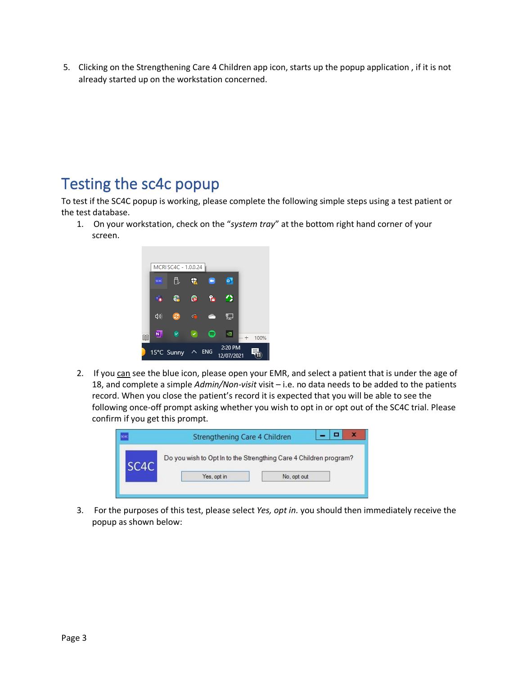5. Clicking on the Strengthening Care 4 Children app icon, starts up the popup application , if it is not already started up on the workstation concerned.

## <span id="page-2-0"></span>Testing the sc4c popup

To test if the SC4C popup is working, please complete the following simple steps using a test patient or the test database.

1. On your workstation, check on the "*system tray*" at the bottom right hand corner of your screen.



2. If you can see the blue icon, please open your EMR, and select a patient that is under the age of 18, and complete a simple *Admin/Non-visit* visit – i.e. no data needs to be added to the patients record. When you close the patient's record it is expected that you will be able to see the following once-off prompt asking whether you wish to opt in or opt out of the SC4C trial. Please confirm if you get this prompt.

| Strengthening Care 4 Children                                     |             |  |
|-------------------------------------------------------------------|-------------|--|
| Do you wish to Opt In to the Strengthing Care 4 Children program? |             |  |
| Yes, opt in                                                       | No, opt out |  |
|                                                                   |             |  |

3. For the purposes of this test, please select *Yes, opt in.* you should then immediately receive the popup as shown below: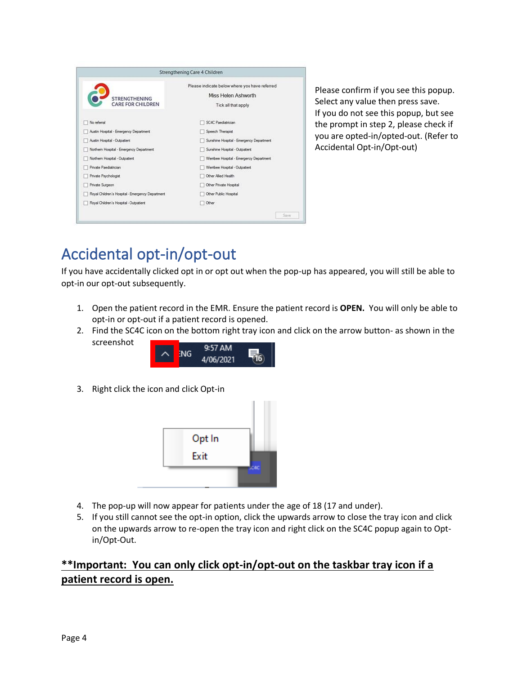|                                                  | Strengthening Care 4 Children                                                               |
|--------------------------------------------------|---------------------------------------------------------------------------------------------|
| <b>STRENGTHENING</b><br><b>CARE FOR CHILDREN</b> | Please indicate below where you have referred<br>Miss Helen Ashworth<br>Tick all that apply |
| No referral                                      | SC4C Paediatrician                                                                          |
| Austin Hospital - Emergency Department           | Speech Therapist                                                                            |
| Austin Hospital - Outpatient                     | Sunshine Hospital - Emergency Department                                                    |
| Northern Hospital - Emergency Department         | Sunshine Hospital - Outpatient                                                              |
| Northern Hospital - Outpatient                   | Wembee Hospital - Emergency Department                                                      |
| Private Paediatrician                            | Wembee Hospital - Outpatient                                                                |
| Private Psychologist                             | Other Allied Health                                                                         |
| Private Surgeon                                  | Other Private Hospital                                                                      |
| Royal Children's Hospital - Emergency Department | Other Public Hospital                                                                       |
| Royal Children's Hospital - Outpatient           | Other                                                                                       |
|                                                  | Save                                                                                        |

Please confirm if you see this popup. Select any value then press save. If you do not see this popup, but see the prompt in step 2, please check if you are opted-in/opted-out. (Refer to Accidental Opt-in/Opt-out)

## <span id="page-3-0"></span>Accidental opt-in/opt-out

If you have accidentally clicked opt in or opt out when the pop-up has appeared, you will still be able to opt-in our opt-out subsequently.

- 1. Open the patient record in the EMR. Ensure the patient record is **OPEN.** You will only be able to opt-in or opt-out if a patient record is opened.
- 2. Find the SC4C icon on the bottom right tray icon and click on the arrow button- as shown in the screenshot



3. Right click the icon and click Opt-in



- 4. The pop-up will now appear for patients under the age of 18 (17 and under).
- 5. If you still cannot see the opt-in option, click the upwards arrow to close the tray icon and click on the upwards arrow to re-open the tray icon and right click on the SC4C popup again to Optin/Opt-Out.

#### **\*\*Important: You can only click opt-in/opt-out on the taskbar tray icon if a patient record is open.**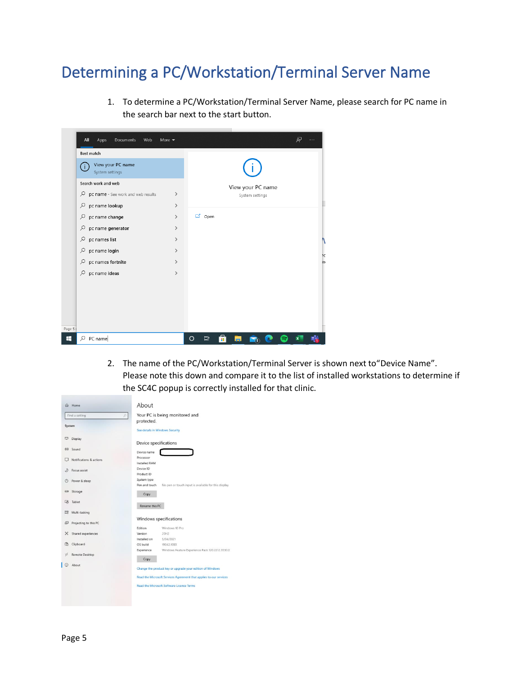## <span id="page-4-0"></span>Determining a PC/Workstation/Terminal Server Name

1. To determine a PC/Workstation/Terminal Server Name, please search for PC name in the search bar next to the start button.

|        | All<br>Apps<br>Documents<br>Web           | More $\blacktriangledown$ |         |               |   |           |                   |  | ୟୁ                      | $\cdots$ |
|--------|-------------------------------------------|---------------------------|---------|---------------|---|-----------|-------------------|--|-------------------------|----------|
|        | Best match                                |                           |         |               |   |           |                   |  |                         |          |
|        | View your PC name<br>¢<br>System settings |                           |         |               |   |           |                   |  |                         |          |
|        | Search work and web                       |                           |         |               |   |           | View your PC name |  |                         |          |
|        | ρ<br>pc name - See work and web results   | $\rightarrow$             |         |               |   |           | System settings   |  |                         |          |
|        | pc name lookup<br>ρ                       | $\rightarrow$             |         |               |   |           |                   |  |                         |          |
|        | pc name change<br>ρ                       | ゝ                         |         | <b>ロ</b> Open |   |           |                   |  |                         |          |
|        | ्<br>pc name generator                    | ゝ                         |         |               |   |           |                   |  |                         |          |
|        | pc names list<br>$\alpha$                 | ⋋                         |         |               |   |           |                   |  |                         |          |
|        | pc name login<br>9                        | ゝ                         |         |               |   |           |                   |  |                         | ÞC       |
|        | pc names fortnite<br>₽                    | $\rightarrow$             |         |               |   |           |                   |  |                         | e>       |
|        | pc name ideas<br>ρ                        | $\rightarrow$             |         |               |   |           |                   |  |                         |          |
|        |                                           |                           |         |               |   |           |                   |  |                         |          |
|        |                                           |                           |         |               |   |           |                   |  |                         |          |
|        |                                           |                           |         |               |   |           |                   |  |                         |          |
|        |                                           |                           |         |               |   |           |                   |  |                         |          |
| Page 5 |                                           |                           |         |               |   |           |                   |  |                         |          |
| H      | $\rho$ PC name                            |                           | $\circ$ | Ħ             | ē | <b>PO</b> |                   |  | $\overline{\mathbf{x}}$ |          |

2. The name of the PC/Workstation/Terminal Server is shown next to"Device Name". Please note this down and compare it to the list of installed workstations to determine if the SC4C popup is correctly installed for that clinic.

| Find a setting                          | Your PC is being monitored and<br>p                                   |
|-----------------------------------------|-----------------------------------------------------------------------|
|                                         | protected.                                                            |
| System                                  |                                                                       |
|                                         | See details in Windows Security                                       |
| Display                                 |                                                                       |
|                                         | Device specifications                                                 |
| dil Sound                               |                                                                       |
|                                         | Device name                                                           |
| Notifications & actions                 | Processor                                                             |
|                                         | Installed RAM                                                         |
| Focus assist                            | Device ID                                                             |
|                                         | Product ID                                                            |
| Power & sleep                           | System type                                                           |
|                                         | Pen and touch<br>No pen or touch input is available for this display. |
| $\qquad \qquad \blacksquare$<br>Storage | Copy                                                                  |
|                                         |                                                                       |
| 대<br>Tablet                             | Rename this PC                                                        |
| 빠                                       |                                                                       |
| Multi-tasking                           |                                                                       |
| Ð<br>Projecting to this PC              | Windows specifications                                                |
|                                         | Windows 10 Pro<br>Edition                                             |
| Shared experiences<br>×                 | 20H2<br>Version                                                       |
|                                         | Installed on<br>5/04/2021                                             |
| m<br>Clipboard                          | OS build<br>19042.1083                                                |
|                                         | Windows Feature Experience Pack 120.2212.3530.0<br>Experience         |
| Remote Desktop<br>y                     |                                                                       |
|                                         | Copy                                                                  |
| About                                   | Change the product key or upgrade your edition of Windows             |
|                                         |                                                                       |
|                                         | Read the Microsoft Services Agreement that applies to our services    |
|                                         | Read the Microsoft Software Licence Terms                             |
|                                         |                                                                       |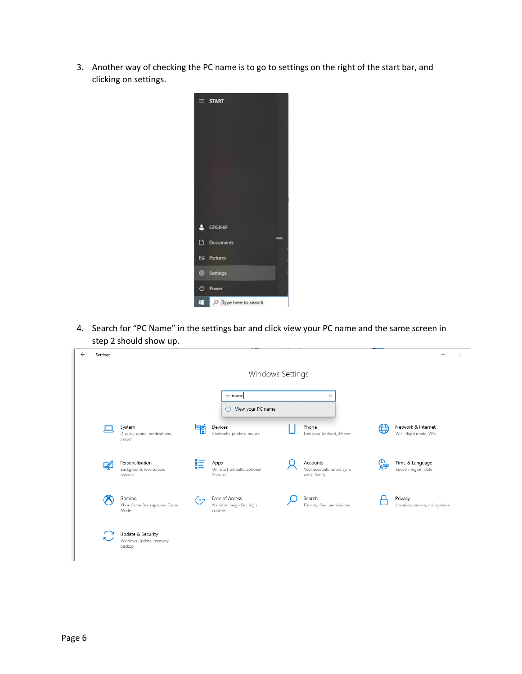3. Another way of checking the PC name is to go to settings on the right of the start bar, and clicking on settings.



4. Search for "PC Name" in the settings bar and click view your PC name and the same screen in step 2 should show up.

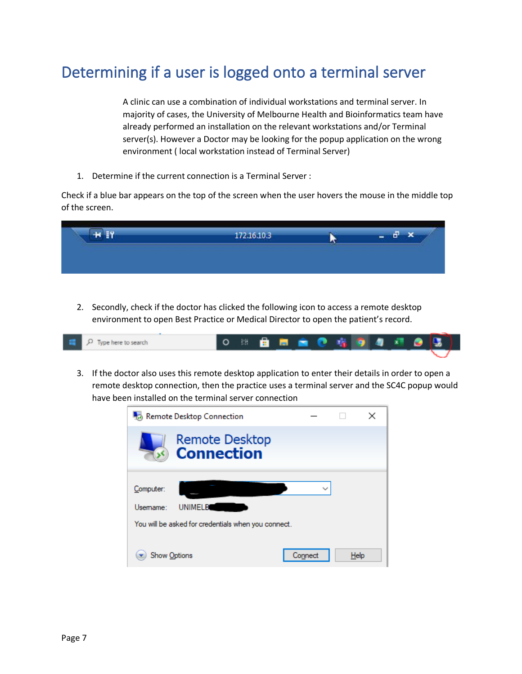## <span id="page-6-0"></span>Determining if a user is logged onto a terminal server

A clinic can use a combination of individual workstations and terminal server. In majority of cases, the University of Melbourne Health and Bioinformatics team have already performed an installation on the relevant workstations and/or Terminal server(s). However a Doctor may be looking for the popup application on the wrong environment ( local workstation instead of Terminal Server)

1. Determine if the current connection is a Terminal Server :

Check if a blue bar appears on the top of the screen when the user hovers the mouse in the middle top of the screen.

2. Secondly, check if the doctor has clicked the following icon to access a remote desktop environment to open Best Practice or Medical Director to open the patient's record.

| $\Box$ $\Box$ Type here to search | ○ ※ 自 ■ 自 ● 咯 9 4 星 ● 9.3) |  |  |  |  |  |  |
|-----------------------------------|----------------------------|--|--|--|--|--|--|
|                                   |                            |  |  |  |  |  |  |

3. If the doctor also uses this remote desktop application to enter their details in order to open a remote desktop connection, then the practice uses a terminal server and the SC4C popup would have been installed on the terminal server connection

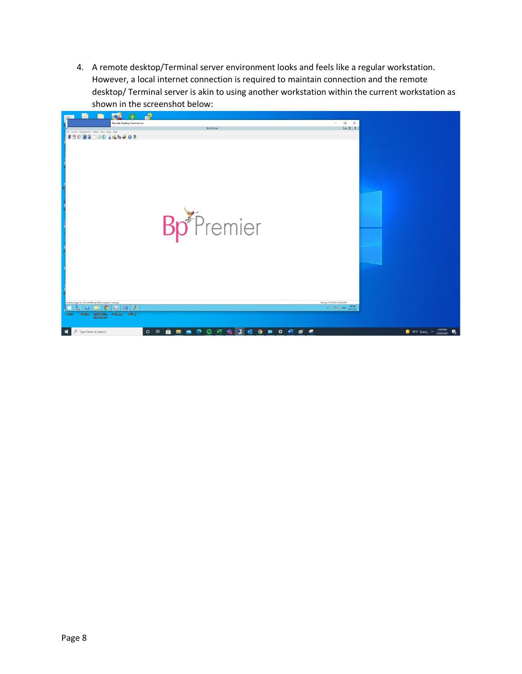4. A remote desktop/Terminal server environment looks and feels like a regular workstation. However, a local internet connection is required to maintain connection and the remote desktop/ Terminal server is akin to using another workstation within the current workstation as shown in the screenshot below:

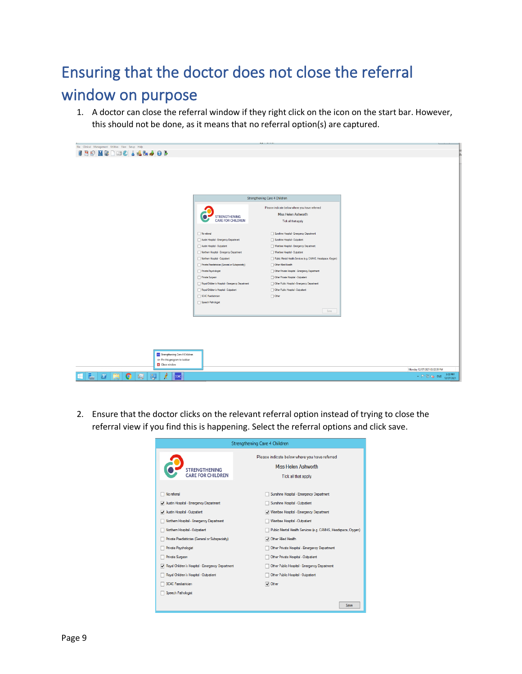# <span id="page-8-0"></span>Ensuring that the doctor does not close the referral

## window on purpose

1. A doctor can close the referral window if they right click on the icon on the start bar. However, this should not be done, as it means that no referral option(s) are captured.



2. Ensure that the doctor clicks on the relevant referral option instead of trying to close the referral view if you find this is happening. Select the referral options and click save.

|                                                       | Strengthening Care 4 Children                                                               |
|-------------------------------------------------------|---------------------------------------------------------------------------------------------|
| <b>STRENGTHENING</b><br><b>CARE FOR CHILDREN</b>      | Please indicate below where you have referred<br>Miss Helen Ashworth<br>Tick all that apply |
| No referral                                           | Sunshine Hospital - Emergency Department                                                    |
| Austin Hospital - Emergency Department                | Sunshine Hospital - Outpatient                                                              |
| Austin Hospital - Outpatient                          | V Wembee Hospital - Emergency Department                                                    |
| Northern Hospital - Emergency Department              | Wembee Hospital - Outpatient                                                                |
| Northern Hosoital - Outpatient                        | Public Mental Health Services (e.g. CAMHS, Headspace, Orygen)                               |
| Private Paediatrician (General or Subspecialty)       | Other Allied Health                                                                         |
| Private Psychologist                                  | Other Private Hospital - Emergency Department                                               |
| Private Surgeon                                       | Other Private Hospital - Outpatient                                                         |
| Royal Children's Hospital - Emergency Department<br>◡ | Other Public Hospital - Emergency Department                                                |
| Royal Children's Hospital - Outpatient                | Other Public Hospital - Outpatient                                                          |
| SC4C Paediatrician                                    | Other                                                                                       |
| Speech Pathologist                                    |                                                                                             |
|                                                       | Save                                                                                        |